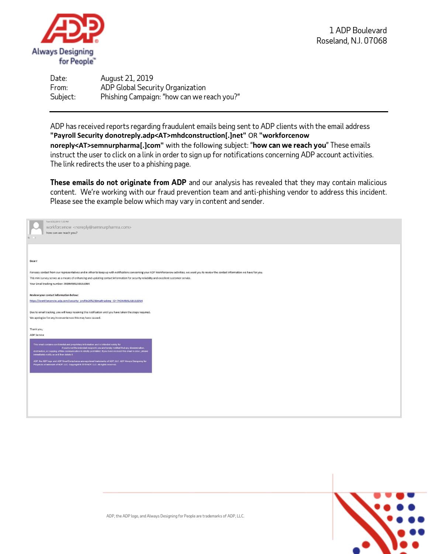

Date: August 21, 2019 From: ADP Global Security Organization Subject: Phishing Campaign: "how can we reach you?"

ADP has received reports regarding fraudulent emails being sent to ADP clients with the email address **"Payroll Security donotreply.adp<AT>mhdconstruction[.]net"** OR **"workforcenow noreply<AT>semnurpharma[.]com"** with the following subject: "**how can we reach you**" These emails instruct the user to click on a link in order to sign up for notifications concerning ADP account activities. The link redirects the user to a phishing page.

**These emails do not originate from ADP** and our analysis has revealed that they may contain malicious content. We're working with our fraud prevention team and anti-phishing vendor to address this incident. Please see the example below which may vary in content and sender.

| Tue 8/20/2019 7:28 PM                                                                                                                                                                            |
|--------------------------------------------------------------------------------------------------------------------------------------------------------------------------------------------------|
| workforcenow <noreply@semnurpharma.com></noreply@semnurpharma.com>                                                                                                                               |
| how can we reach you?                                                                                                                                                                            |
|                                                                                                                                                                                                  |
|                                                                                                                                                                                                  |
|                                                                                                                                                                                                  |
|                                                                                                                                                                                                  |
| Dear /                                                                                                                                                                                           |
| For easy contact from our representatives and in other to keep up with notifications concerning your ADP Workforcenow activities, we want you to review the contact information we have for you. |
| This mini survey serves as a means of enhancing and updating contact information for security reliability and excellent customer service.                                                        |
| Your Email tracking number: 7HDN49JSLABUL63N4                                                                                                                                                    |
|                                                                                                                                                                                                  |
| Review your contact information below:                                                                                                                                                           |
| https://workforcenow.adp.com/security_profile20%25Emailtracking_ID=7HDN49JSLABUL63N4                                                                                                             |
|                                                                                                                                                                                                  |
| Due to email tracking, you will keep receiving this notification until you have taken the steps required.                                                                                        |
| We apologize for any inconveniences this may have caused.                                                                                                                                        |
|                                                                                                                                                                                                  |
| Thank you,                                                                                                                                                                                       |
| ADP Service                                                                                                                                                                                      |
| This email contains confidential and proprietary information and is intended solely for                                                                                                          |
| . If you're not the intended recipient, you are hereby notified that any dissemination,                                                                                                          |
| distribution, or copying of this communication is strictly prohibited. If you have received this email in error, please<br>immediately notify us and then delete it.                             |
| ADP, the ADP logo and ADP SmartCompliance are registered trademarks of ADP, LLC. ADP Always Designing for                                                                                        |
| People is a trademark of ADP, LLC. Copyright @ 2019 ADP, LLC. All rights reserved.                                                                                                               |
|                                                                                                                                                                                                  |
|                                                                                                                                                                                                  |
|                                                                                                                                                                                                  |
|                                                                                                                                                                                                  |
|                                                                                                                                                                                                  |
|                                                                                                                                                                                                  |
|                                                                                                                                                                                                  |
|                                                                                                                                                                                                  |
|                                                                                                                                                                                                  |



ADP, the ADP logo, and Always Designing for People are trademarks of ADP, LLC.